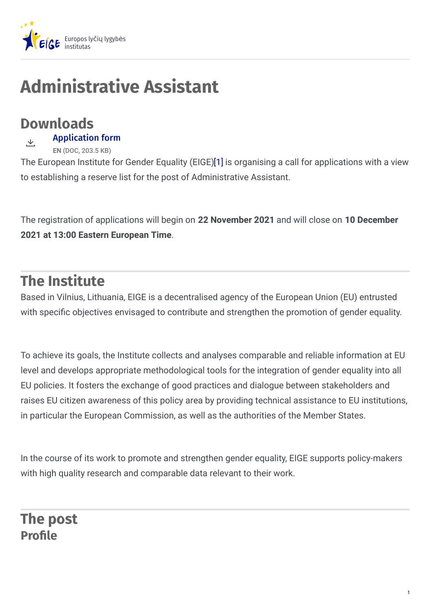

# **Administrative Assistant**

## **Downloads**

[Application](https://eige.europa.eu/sites/default/files/documents/eige_application_form_administrative_assistant_2021.doc) form と

**EN** (DOC, 203.5 KB)

The European Institute for Gender Equality (EIGE[\)\[1\]](https://eige.europa.eu/lt/recruitment/eige-2021-ca-15-fg2#_ftn1) is organising a call for applications with a view to establishing a reserve list for the post of Administrative Assistant.

The registration of applications will begin on **22 November 2021** and will close on **10 December 2021 at 13:00 Eastern European Time**.

## **The Institute**

Based in Vilnius, Lithuania, EIGE is a decentralised agency of the European Union (EU) entrusted with specific objectives envisaged to contribute and strengthen the promotion of gender equality.

To achieve its goals, the Institute collects and analyses comparable and reliable information at EU level and develops appropriate methodological tools for the integration of gender equality into all EU policies. It fosters the exchange of good practices and dialogue between stakeholders and raises EU citizen awareness of this policy area by providing technical assistance to EU institutions, in particular the European Commission, as well as the authorities of the Member States.

In the course of its work to promote and strengthen gender equality, EIGE supports policy-makers with high quality research and comparable data relevant to their work.

**The post Profile**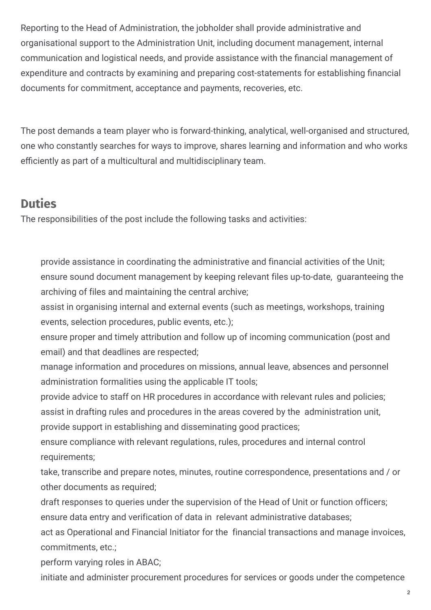Reporting to the Head of Administration, the jobholder shall provide administrative and organisational support to the Administration Unit, including document management, internal communication and logistical needs, and provide assistance with the financial management of expenditure and contracts by examining and preparing cost-statements for establishing financial documents for commitment, acceptance and payments, recoveries, etc.

The post demands a team player who is forward-thinking, analytical, well-organised and structured, one who constantly searches for ways to improve, shares learning and information and who works efficiently as part of a multicultural and multidisciplinary team.

#### **Duties**

The responsibilities of the post include the following tasks and activities:

provide assistance in coordinating the administrative and financial activities of the Unit; ensure sound document management by keeping relevant files up-to-date, guaranteeing the archiving of files and maintaining the central archive;

assist in organising internal and external events (such as meetings, workshops, training events, selection procedures, public events, etc.);

ensure proper and timely attribution and follow up of incoming communication (post and email) and that deadlines are respected;

manage information and procedures on missions, annual leave, absences and personnel administration formalities using the applicable IT tools;

provide advice to staff on HR procedures in accordance with relevant rules and policies;

assist in drafting rules and procedures in the areas covered by the administration unit,

provide support in establishing and disseminating good practices;

ensure compliance with relevant regulations, rules, procedures and internal control requirements;

take, transcribe and prepare notes, minutes, routine correspondence, presentations and / or other documents as required;

draft responses to queries under the supervision of the Head of Unit or function officers; ensure data entry and verification of data in relevant administrative databases;

act as Operational and Financial Initiator for the financial transactions and manage invoices, commitments, etc.;

perform varying roles in ABAC;

initiate and administer procurement procedures for services or goods under the competence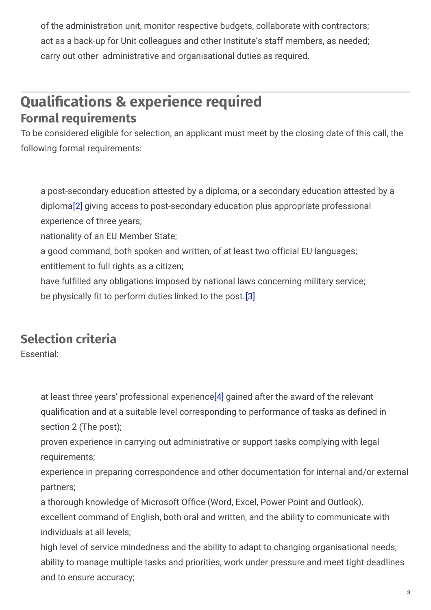of the administration unit, monitor respective budgets, collaborate with contractors; act as a back-up for Unit colleagues and other Institute's staff members, as needed; carry out other administrative and organisational duties as required.

#### **Qualifications & experience required Formal requirements**

To be considered eligible for selection, an applicant must meet by the closing date of this call, the following formal requirements:

a post-secondary education attested by a diploma, or a secondary education attested by a diplom[a\[2\]](https://eige.europa.eu/lt/recruitment/eige-2021-ca-15-fg2#_ftn2) giving access to post-secondary education plus appropriate professional experience of three years;

nationality of an EU Member State;

a good command, both spoken and written, of at least two official EU languages;

entitlement to full rights as a citizen;

have fulfilled any obligations imposed by national laws concerning military service; be physically fit to perform duties linked to the post.[\[3\]](https://eige.europa.eu/lt/recruitment/eige-2021-ca-15-fg2#_ftn3)

### **Selection criteria**

Essential:

at least three years' professional experienc[e\[4\]](https://eige.europa.eu/lt/recruitment/eige-2021-ca-15-fg2#_ftn4) gained after the award of the relevant qualification and at a suitable level corresponding to performance of tasks as defined in section 2 (The post);

proven experience in carrying out administrative or support tasks complying with legal requirements;

experience in preparing correspondence and other documentation for internal and/or external partners;

a thorough knowledge of Microsoft Office (Word, Excel, Power Point and Outlook). excellent command of English, both oral and written, and the ability to communicate with individuals at all levels;

high level of service mindedness and the ability to adapt to changing organisational needs; ability to manage multiple tasks and priorities, work under pressure and meet tight deadlines and to ensure accuracy;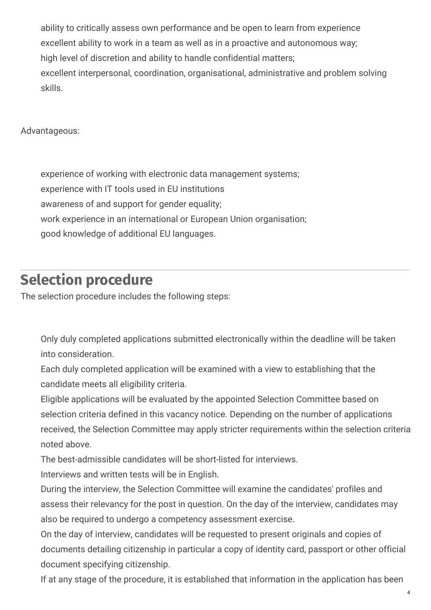ability to critically assess own performance and be open to learn from experience excellent ability to work in a team as well as in a proactive and autonomous way; high level of discretion and ability to handle confidential matters; excellent interpersonal, coordination, organisational, administrative and problem solving skills.

Advantageous:

experience of working with electronic data management systems; experience with IT tools used in EU institutions awareness of and support for gender equality; work experience in an international or European Union organisation; good knowledge of additional EU languages.

### **Selection procedure**

The selection procedure includes the following steps:

Only duly completed applications submitted electronically within the deadline will be taken into consideration.

Each duly completed application will be examined with a view to establishing that the candidate meets all eligibility criteria.

Eligible applications will be evaluated by the appointed Selection Committee based on selection criteria defined in this vacancy notice. Depending on the number of applications received, the Selection Committee may apply stricter requirements within the selection criteria noted above.

The best-admissible candidates will be short-listed for interviews.

Interviews and written tests will be in English.

During the interview, the Selection Committee will examine the candidates' profiles and assess their relevancy for the post in question. On the day of the interview, candidates may also be required to undergo a competency assessment exercise.

On the day of interview, candidates will be requested to present originals and copies of documents detailing citizenship in particular a copy of identity card, passport or other official document specifying citizenship.

If at any stage of the procedure, it is established that information in the application has been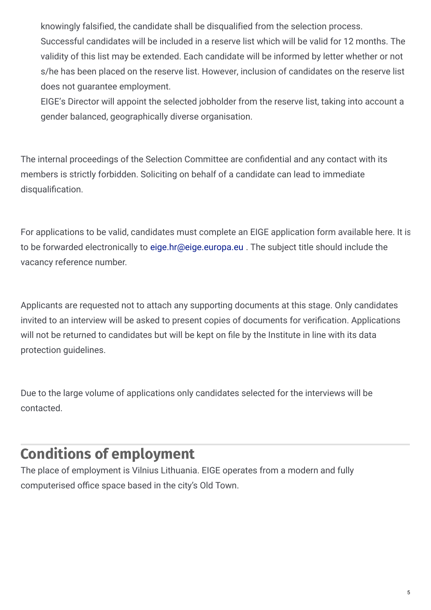knowingly falsified, the candidate shall be disqualified from the selection process. Successful candidates will be included in a reserve list which will be valid for 12 months. The validity of this list may be extended. Each candidate will be informed by letter whether or not s/he has been placed on the reserve list. However, inclusion of candidates on the reserve list does not guarantee employment.

EIGE's Director will appoint the selected jobholder from the reserve list, taking into account a gender balanced, geographically diverse organisation.

The internal proceedings of the Selection Committee are confidential and any contact with its members is strictly forbidden. Soliciting on behalf of a candidate can lead to immediate disqualification.

For applications to be valid, candidates must complete an EIGE application form available here. It is to be forwarded electronically to [eige.hr@eige.europa.eu](mailto:eige.hr@eige.europa.eu) . The subject title should include the vacancy reference number.

Applicants are requested not to attach any supporting documents at this stage. Only candidates invited to an interview will be asked to present copies of documents for verification. Applications will not be returned to candidates but will be kept on file by the Institute in line with its data protection guidelines.

Due to the large volume of applications only candidates selected for the interviews will be contacted.

## **Conditions of employment**

The place of employment is Vilnius Lithuania. EIGE operates from a modern and fully computerised office space based in the city's Old Town.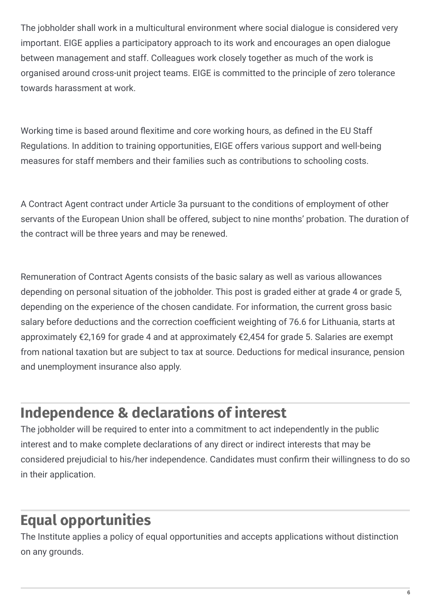The jobholder shall work in a multicultural environment where social dialogue is considered very important. EIGE applies a participatory approach to its work and encourages an open dialogue between management and staff. Colleagues work closely together as much of the work is organised around cross-unit project teams. EIGE is committed to the principle of zero tolerance towards harassment at work.

Working time is based around flexitime and core working hours, as defined in the EU Staff Regulations. In addition to training opportunities, EIGE offers various support and well-being measures for staff members and their families such as contributions to schooling costs.

A Contract Agent contract under Article 3a pursuant to the conditions of employment of other servants of the European Union shall be offered, subject to nine months' probation. The duration of the contract will be three years and may be renewed.

Remuneration of Contract Agents consists of the basic salary as well as various allowances depending on personal situation of the jobholder. This post is graded either at grade 4 or grade 5, depending on the experience of the chosen candidate. For information, the current gross basic salary before deductions and the correction coefficient weighting of 76.6 for Lithuania, starts at approximately €2,169 for grade 4 and at approximately €2,454 for grade 5. Salaries are exempt from national taxation but are subject to tax at source. Deductions for medical insurance, pension and unemployment insurance also apply.

## **Independence & declarations of interest**

The jobholder will be required to enter into a commitment to act independently in the public interest and to make complete declarations of any direct or indirect interests that may be considered prejudicial to his/her independence. Candidates must confirm their willingness to do so in their application.

## **Equal opportunities**

The Institute applies a policy of equal opportunities and accepts applications without distinction on any grounds.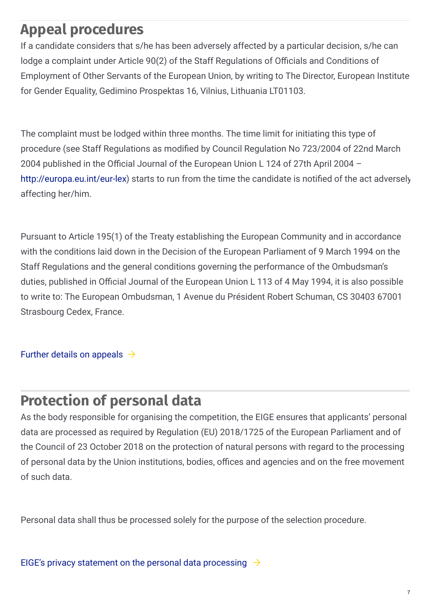## **Appeal procedures**

If a candidate considers that s/he has been adversely affected by a particular decision, s/he can lodge a complaint under Article 90(2) of the Staff Regulations of Officials and Conditions of Employment of Other Servants of the European Union, by writing to The Director, European Institute for Gender Equality, Gedimino Prospektas 16, Vilnius, Lithuania LT01103.

The complaint must be lodged within three months. The time limit for initiating this type of procedure (see Staff Regulations as modified by Council Regulation No 723/2004 of 22nd March 2004 published in the Official Journal of the European Union L 124 of 27th April 2004 <http://europa.eu.int/eur-lex>) starts to run from the time the candidate is notified of the act adversely affecting her/him.

Pursuant to Article 195(1) of the Treaty establishing the European Community and in accordance with the conditions laid down in the Decision of the European Parliament of 9 March 1994 on the Staff Regulations and the general conditions governing the performance of the Ombudsman's duties, published in Official Journal of the European Union L 113 of 4 May 1994, it is also possible to write to: The European Ombudsman, 1 Avenue du Président Robert Schuman, CS 30403 67001 Strasbourg Cedex, France.

Further details on [appeals](https://eige.europa.eu/selection-procedure-appeals-further-details)  $\rightarrow$ 

### **Protection of personal data**

As the body responsible for organising the competition, the EIGE ensures that applicants' personal data are processed as required by Regulation (EU) 2018/1725 of the European Parliament and of the Council of 23 October 2018 on the protection of natural persons with regard to the processing of personal data by the Union institutions, bodies, offices and agencies and on the free movement of such data.

Personal data shall thus be processed solely for the purpose of the selection procedure.

EIGE's privacy statement on the personal data [processing](https://eige.europa.eu/data-protection#:~:text=Any personal data you submit to the Institute,privacy notice linked to the specific processing operation)  $\rightarrow$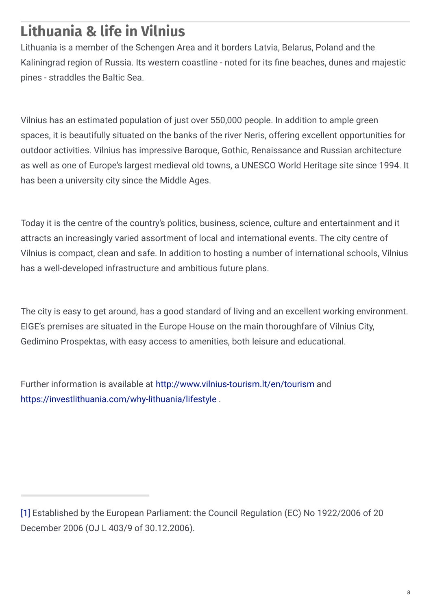## **Lithuania & life in Vilnius**

Lithuania is a member of the Schengen Area and it borders Latvia, Belarus, Poland and the Kaliningrad region of Russia. Its western coastline - noted for its fine beaches, dunes and majestic pines - straddles the Baltic Sea.

Vilnius has an estimated population of just over 550,000 people. In addition to ample green spaces, it is beautifully situated on the banks of the river Neris, offering excellent opportunities for outdoor activities. Vilnius has impressive Baroque, Gothic, Renaissance and Russian architecture as well as one of Europe's largest medieval old towns, a UNESCO World Heritage site since 1994. It has been a university city since the Middle Ages.

Today it is the centre of the country's politics, business, science, culture and entertainment and it attracts an increasingly varied assortment of local and international events. The city centre of Vilnius is compact, clean and safe. In addition to hosting a number of international schools, Vilnius has a well-developed infrastructure and ambitious future plans.

The city is easy to get around, has a good standard of living and an excellent working environment. EIGE's premises are situated in the Europe House on the main thoroughfare of Vilnius City, Gedimino Prospektas, with easy access to amenities, both leisure and educational.

Further information is available at <http://www.vilnius-tourism.lt/en/tourism> and <https://investlithuania.com/why-lithuania/lifestyle> .

[<sup>\[1\]</sup>](https://eige.europa.eu/lt/recruitment/eige-2021-ca-15-fg2#_ftnref1) Established by the European Parliament: the Council Regulation (EC) No 1922/2006 of 20 December 2006 (OJ L 403/9 of 30.12.2006).